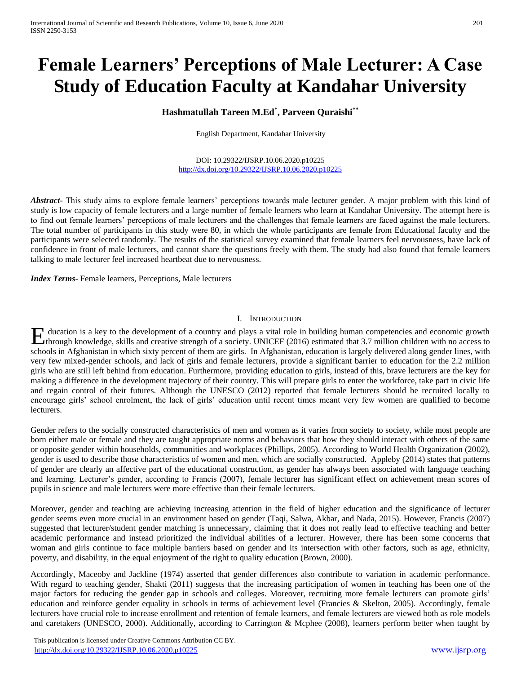# **Female Learners' Perceptions of Male Lecturer: A Case Study of Education Faculty at Kandahar University**

## **Hashmatullah Tareen M.Ed\* , Parveen Quraishi\*\***

English Department, Kandahar University

DOI: 10.29322/IJSRP.10.06.2020.p10225 <http://dx.doi.org/10.29322/IJSRP.10.06.2020.p10225>

*Abstract***-** This study aims to explore female learners' perceptions towards male lecturer gender. A major problem with this kind of study is low capacity of female lecturers and a large number of female learners who learn at Kandahar University. The attempt here is to find out female learners' perceptions of male lecturers and the challenges that female learners are faced against the male lecturers. The total number of participants in this study were 80, in which the whole participants are female from Educational faculty and the participants were selected randomly. The results of the statistical survey examined that female learners feel nervousness, have lack of confidence in front of male lecturers, and cannot share the questions freely with them. The study had also found that female learners talking to male lecturer feel increased heartbeat due to nervousness.

*Index Terms*- Female learners, Perceptions, Male lecturers

#### I. INTRODUCTION

ducation is a key to the development of a country and plays a vital role in building human competencies and economic growth Hullands a key to the development of a country and plays a vital role in building human competencies and economic growth through knowledge, skills and creative strength of a society. UNICEF (2016) estimated that 3.7 millio schools in Afghanistan in which sixty percent of them are girls. In Afghanistan, education is largely delivered along gender lines, with very few mixed-gender schools, and lack of girls and female lecturers, provide a significant barrier to education for the 2.2 million girls who are still left behind from education. Furthermore, providing education to girls, instead of this, brave lecturers are the key for making a difference in the development trajectory of their country. This will prepare girls to enter the workforce, take part in civic life and regain control of their futures. Although the UNESCO (2012) reported that female lecturers should be recruited locally to encourage girls' school enrolment, the lack of girls' education until recent times meant very few women are qualified to become lecturers.

Gender refers to the socially constructed characteristics of men and women as it varies from society to society, while most people are born either male or female and they are taught appropriate norms and behaviors that how they should interact with others of the same or opposite gender within households, communities and workplaces (Phillips, 2005). According to World Health Organization (2002), gender is used to describe those characteristics of women and men, which are socially constructed. Appleby (2014) states that patterns of gender are clearly an affective part of the educational construction, as gender has always been associated with language teaching and learning. Lecturer's gender, according to Francis (2007), female lecturer has significant effect on achievement mean scores of pupils in science and male lecturers were more effective than their female lecturers.

Moreover, gender and teaching are achieving increasing attention in the field of higher education and the significance of lecturer gender seems even more crucial in an environment based on gender (Taqi, Salwa, Akbar, and Nada, 2015). However, Francis (2007) suggested that lecturer/student gender matching is unnecessary, claiming that it does not really lead to effective teaching and better academic performance and instead prioritized the individual abilities of a lecturer. However, there has been some concerns that woman and girls continue to face multiple barriers based on gender and its intersection with other factors, such as age, ethnicity, poverty, and disability, in the equal enjoyment of the right to quality education (Brown, 2000).

Accordingly, Maceoby and Jackline (1974) asserted that gender differences also contribute to variation in academic performance. With regard to teaching gender, Shakti (2011) suggests that the increasing participation of women in teaching has been one of the major factors for reducing the gender gap in schools and colleges. Moreover, recruiting more female lecturers can promote girls' education and reinforce gender equality in schools in terms of achievement level (Francies & Skelton, 2005). Accordingly, female lecturers have crucial role to increase enrollment and retention of female learners, and female lecturers are viewed both as role models and caretakers (UNESCO, 2000). Additionally, according to Carrington & Mcphee (2008), learners perform better when taught by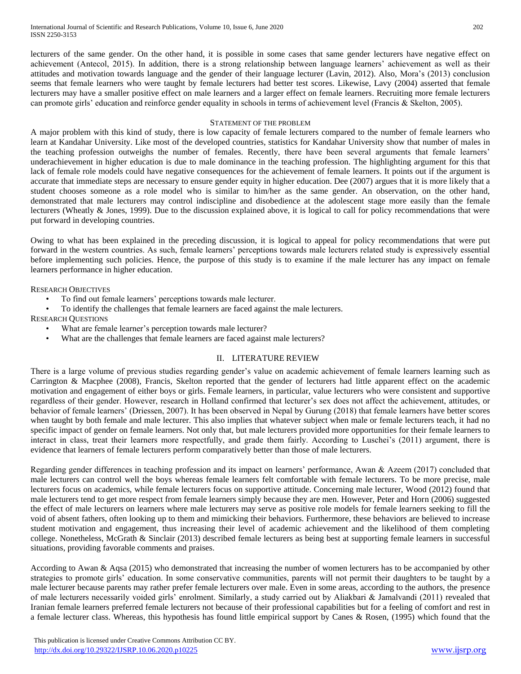lecturers of the same gender. On the other hand, it is possible in some cases that same gender lecturers have negative effect on achievement (Antecol, 2015). In addition, there is a strong relationship between language learners' achievement as well as their attitudes and motivation towards language and the gender of their language lecturer (Lavin, 2012). Also, Mora's (2013) conclusion seems that female learners who were taught by female lecturers had better test scores. Likewise, Lavy (2004) asserted that female lecturers may have a smaller positive effect on male learners and a larger effect on female learners. Recruiting more female lecturers can promote girls' education and reinforce gender equality in schools in terms of achievement level (Francis & Skelton, 2005).

#### STATEMENT OF THE PROBLEM

A major problem with this kind of study, there is low capacity of female lecturers compared to the number of female learners who learn at Kandahar University. Like most of the developed countries, statistics for Kandahar University show that number of males in the teaching profession outweighs the number of females. Recently, there have been several arguments that female learners' underachievement in higher education is due to male dominance in the teaching profession. The highlighting argument for this that lack of female role models could have negative consequences for the achievement of female learners. It points out if the argument is accurate that immediate steps are necessary to ensure gender equity in higher education. Dee (2007) argues that it is more likely that a student chooses someone as a role model who is similar to him/her as the same gender. An observation, on the other hand, demonstrated that male lecturers may control indiscipline and disobedience at the adolescent stage more easily than the female lecturers (Wheatly & Jones, 1999). Due to the discussion explained above, it is logical to call for policy recommendations that were put forward in developing countries.

Owing to what has been explained in the preceding discussion, it is logical to appeal for policy recommendations that were put forward in the western countries. As such, female learners' perceptions towards male lecturers related study is expressively essential before implementing such policies. Hence, the purpose of this study is to examine if the male lecturer has any impact on female learners performance in higher education.

RESEARCH OBJECTIVES

- To find out female learners' perceptions towards male lecturer.
- To identify the challenges that female learners are faced against the male lecturers.

RESEARCH QUESTIONS

- What are female learner's perception towards male lecturer?
- What are the challenges that female learners are faced against male lecturers?

### II. LITERATURE REVIEW

There is a large volume of previous studies regarding gender's value on academic achievement of female learners learning such as Carrington & Macphee (2008), Francis, Skelton reported that the gender of lecturers had little apparent effect on the academic motivation and engagement of either boys or girls. Female learners, in particular, value lecturers who were consistent and supportive regardless of their gender. However, research in Holland confirmed that lecturer's sex does not affect the achievement, attitudes, or behavior of female learners' (Driessen, 2007). It has been observed in Nepal by Gurung (2018) that female learners have better scores when taught by both female and male lecturer. This also implies that whatever subject when male or female lecturers teach, it had no specific impact of gender on female learners. Not only that, but male lecturers provided more opportunities for their female learners to interact in class, treat their learners more respectfully, and grade them fairly. According to Luschei's (2011) argument, there is evidence that learners of female lecturers perform comparatively better than those of male lecturers.

Regarding gender differences in teaching profession and its impact on learners' performance, Awan & Azeem (2017) concluded that male lecturers can control well the boys whereas female learners felt comfortable with female lecturers. To be more precise, male lecturers focus on academics, while female lecturers focus on supportive attitude. Concerning male lecturer, Wood (2012) found that male lecturers tend to get more respect from female learners simply because they are men. However, Peter and Horn (2006) suggested the effect of male lecturers on learners where male lecturers may serve as positive role models for female learners seeking to fill the void of absent fathers, often looking up to them and mimicking their behaviors. Furthermore, these behaviors are believed to increase student motivation and engagement, thus increasing their level of academic achievement and the likelihood of them completing college. Nonetheless, McGrath & Sinclair (2013) described female lecturers as being best at supporting female learners in successful situations, providing favorable comments and praises.

According to Awan & Aqsa (2015) who demonstrated that increasing the number of women lecturers has to be accompanied by other strategies to promote girls' education. In some conservative communities, parents will not permit their daughters to be taught by a male lecturer because parents may rather prefer female lecturers over male. Even in some areas, according to the authors, the presence of male lecturers necessarily voided girls' enrolment. Similarly, a study carried out by Aliakbari & Jamalvandi (2011) revealed that Iranian female learners preferred female lecturers not because of their professional capabilities but for a feeling of comfort and rest in a female lecturer class. Whereas, this hypothesis has found little empirical support by Canes & Rosen, (1995) which found that the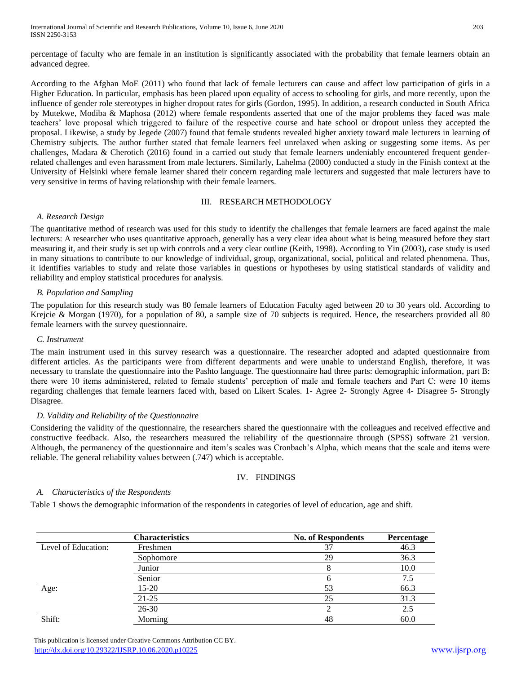International Journal of Scientific and Research Publications, Volume 10, Issue 6, June 2020 203 ISSN 2250-3153

percentage of faculty who are female in an institution is significantly associated with the probability that female learners obtain an advanced degree.

According to the Afghan MoE (2011) who found that lack of female lecturers can cause and affect low participation of girls in a Higher Education. In particular, emphasis has been placed upon equality of access to schooling for girls, and more recently, upon the influence of gender role stereotypes in higher dropout rates for girls (Gordon, 1995). In addition, a research conducted in South Africa by Mutekwe, Modiba & Maphosa (2012) where female respondents asserted that one of the major problems they faced was male teachers' love proposal which triggered to failure of the respective course and hate school or dropout unless they accepted the proposal. Likewise, a study by Jegede (2007) found that female students revealed higher anxiety toward male lecturers in learning of Chemistry subjects. The author further stated that female learners feel unrelaxed when asking or suggesting some items. As per challenges, Madara & Cherotich (2016) found in a carried out study that female learners undeniably encountered frequent genderrelated challenges and even harassment from male lecturers. Similarly, Lahelma (2000) conducted a study in the Finish context at the University of Helsinki where female learner shared their concern regarding male lecturers and suggested that male lecturers have to very sensitive in terms of having relationship with their female learners.

## III. RESEARCH METHODOLOGY

#### *A. Research Design*

The quantitative method of research was used for this study to identify the challenges that female learners are faced against the male lecturers: A researcher who uses quantitative approach, generally has a very clear idea about what is being measured before they start measuring it, and their study is set up with controls and a very clear outline (Keith, 1998). According to Yin (2003), case study is used in many situations to contribute to our knowledge of individual, group, organizational, social, political and related phenomena. Thus, it identifies variables to study and relate those variables in questions or hypotheses by using statistical standards of validity and reliability and employ statistical procedures for analysis.

## *B. Population and Sampling*

The population for this research study was 80 female learners of Education Faculty aged between 20 to 30 years old. According to Krejcie & Morgan (1970), for a population of 80, a sample size of 70 subjects is required. Hence, the researchers provided all 80 female learners with the survey questionnaire.

#### *C. Instrument*

The main instrument used in this survey research was a questionnaire. The researcher adopted and adapted questionnaire from different articles. As the participants were from different departments and were unable to understand English, therefore, it was necessary to translate the questionnaire into the Pashto language. The questionnaire had three parts: demographic information, part B: there were 10 items administered, related to female students' perception of male and female teachers and Part C: were 10 items regarding challenges that female learners faced with, based on Likert Scales. 1- Agree 2- Strongly Agree 4- Disagree 5- Strongly Disagree.

#### *D. Validity and Reliability of the Questionnaire*

Considering the validity of the questionnaire, the researchers shared the questionnaire with the colleagues and received effective and constructive feedback. Also, the researchers measured the reliability of the questionnaire through (SPSS) software 21 version. Although, the permanency of the questionnaire and item's scales was Cronbach's Alpha, which means that the scale and items were reliable. The general reliability values between (.747) which is acceptable.

## IV. FINDINGS

#### *A. Characteristics of the Respondents*

Table 1 shows the demographic information of the respondents in categories of level of education, age and shift.

|                     | <b>Characteristics</b> | <b>No. of Respondents</b> | Percentage |
|---------------------|------------------------|---------------------------|------------|
| Level of Education: | Freshmen               | 37                        | 46.3       |
|                     | Sophomore              | 29                        | 36.3       |
|                     | Junior                 |                           | 10.0       |
|                     | Senior                 |                           | 7.5        |
| Age:                | $15 - 20$              | 53                        | 66.3       |
|                     | $21 - 25$              | 25                        | 31.3       |
|                     | $26 - 30$              |                           | 2.5        |
| Shift:              | Morning                | 48                        | 60.0       |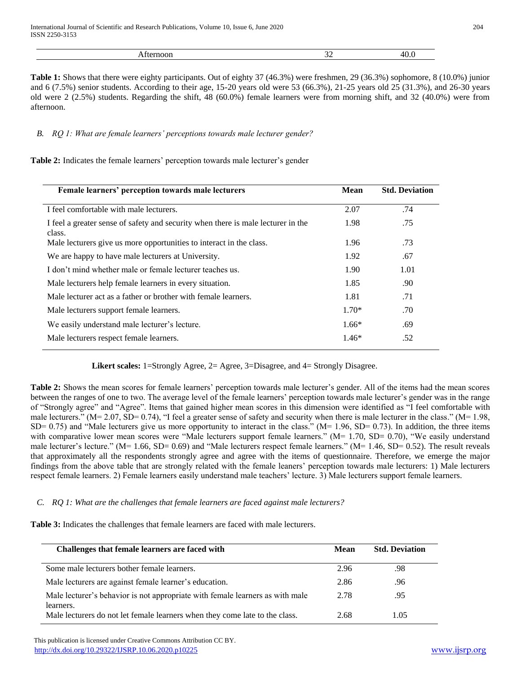**Table 1:** Shows that there were eighty participants. Out of eighty 37 (46.3%) were freshmen, 29 (36.3%) sophomore, 8 (10.0%) junior and 6 (7.5%) senior students. According to their age, 15-20 years old were 53 (66.3%), 21-25 years old 25 (31.3%), and 26-30 years old were 2 (2.5%) students. Regarding the shift, 48 (60.0%) female learners were from morning shift, and 32 (40.0%) were from afternoon.

## *B. RQ 1: What are female learners' perceptions towards male lecturer gender?*

**Table 2:** Indicates the female learners' perception towards male lecturer's gender

| Female learners' perception towards male lecturers                                         |      | <b>Std. Deviation</b> |
|--------------------------------------------------------------------------------------------|------|-----------------------|
| I feel comfortable with male lecturers.                                                    | 2.07 | .74                   |
| I feel a greater sense of safety and security when there is male lecturer in the<br>class. | 1.98 | .75                   |
| Male lecturers give us more opportunities to interact in the class.                        | 1.96 | .73                   |
| We are happy to have male lecturers at University.                                         | 1.92 | .67                   |
| I don't mind whether male or female lecturer teaches us.                                   | 1.90 | 1.01                  |
| Male lecturers help female learners in every situation.                                    | 1.85 | .90                   |
| Male lecturer act as a father or brother with female learners.                             |      | .71                   |
| Male lecturers support female learners.                                                    |      | .70                   |
| We easily understand male lecturer's lecture.                                              |      | .69                   |
| Male lecturers respect female learners.                                                    |      | .52                   |

**Likert scales:** 1=Strongly Agree, 2= Agree, 3=Disagree, and 4= Strongly Disagree.

**Table 2:** Shows the mean scores for female learners' perception towards male lecturer's gender. All of the items had the mean scores between the ranges of one to two. The average level of the female learners' perception towards male lecturer's gender was in the range of "Strongly agree" and "Agree". Items that gained higher mean scores in this dimension were identified as "I feel comfortable with male lecturers." (M= 2.07, SD= 0.74), "I feel a greater sense of safety and security when there is male lecturer in the class." (M= 1.98, SD= 0.75) and "Male lecturers give us more opportunity to interact in the class." (M=  $1.96$ , SD= 0.73). In addition, the three items with comparative lower mean scores were "Male lecturers support female learners." ( $M= 1.70$ ,  $SD= 0.70$ ), "We easily understand male lecturer's lecture." (M= 1.66, SD= 0.69) and "Male lecturers respect female learners." (M= 1.46, SD= 0.52). The result reveals that approximately all the respondents strongly agree and agree with the items of questionnaire. Therefore, we emerge the major findings from the above table that are strongly related with the female leaners' perception towards male lecturers: 1) Male lecturers respect female learners. 2) Female learners easily understand male teachers' lecture. 3) Male lecturers support female learners.

## *C. RQ 1: What are the challenges that female learners are faced against male lecturers?*

**Table 3:** Indicates the challenges that female learners are faced with male lecturers.

| Challenges that female learners are faced with                                             | Mean | <b>Std. Deviation</b> |
|--------------------------------------------------------------------------------------------|------|-----------------------|
| Some male lecturers bother female learners.                                                | 2.96 | .98                   |
| Male lecturers are against female learner's education.                                     | 2.86 | .96                   |
| Male lecturer's behavior is not appropriate with female learners as with male<br>learners. | 2.78 | .95                   |
| Male lecturers do not let female learners when they come late to the class.                | 2.68 | 1.05                  |

 This publication is licensed under Creative Commons Attribution CC BY. <http://dx.doi.org/10.29322/IJSRP.10.06.2020.p10225> [www.ijsrp.org](http://ijsrp.org/)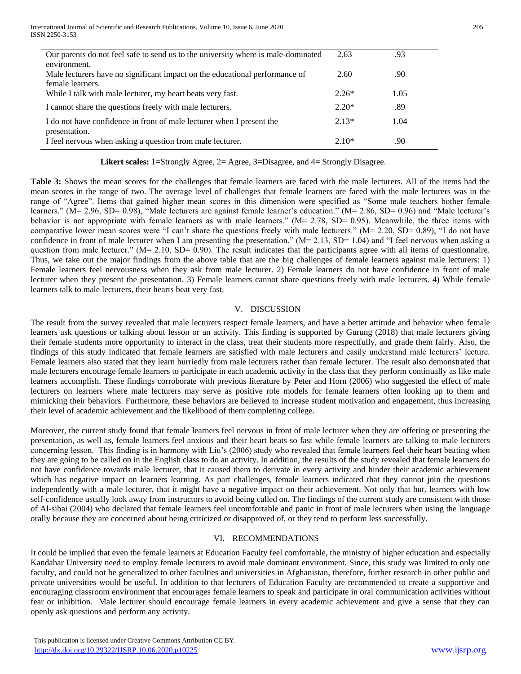| Our parents do not feel safe to send us to the university where is male-dominated | 2.63    | .93  |
|-----------------------------------------------------------------------------------|---------|------|
| environment.                                                                      |         |      |
| Male lecturers have no significant impact on the educational performance of       | 2.60    | .90  |
| female learners.                                                                  |         |      |
| While I talk with male lecturer, my heart beats very fast.                        | $2.26*$ | 1.05 |
| I cannot share the questions freely with male lecturers.                          | $2.20*$ | .89  |
| I do not have confidence in front of male lecturer when I present the             | $2.13*$ | 1.04 |
| presentation.                                                                     |         |      |
| I feel nervous when asking a question from male lecturer.                         | $2.10*$ | .90  |

 **Likert scales:** 1=Strongly Agree, 2= Agree, 3=Disagree, and 4= Strongly Disagree.

**Table 3:** Shows the mean scores for the challenges that female learners are faced with the male lecturers. All of the items had the mean scores in the range of two. The average level of challenges that female learners are faced with the male lecturers was in the range of "Agree". Items that gained higher mean scores in this dimension were specified as "Some male teachers bother female learners." (M= 2.96, SD= 0.98), "Male lecturers are against female learner's education." (M= 2.86, SD= 0.96) and "Male lecturer's behavior is not appropriate with female learners as with male learners." ( $M = 2.78$ , SD= 0.95). Meanwhile, the three items with comparative lower mean scores were "I can't share the questions freely with male lecturers." (M= 2.20, SD= 0.89), "I do not have confidence in front of male lecturer when I am presenting the presentation."  $(M= 2.13, SD= 1.04)$  and "I feel nervous when asking a question from male lecturer." ( $M= 2.10$ , SD= 0.90). The result indicates that the participants agree with all items of questionnaire. Thus, we take out the major findings from the above table that are the big challenges of female learners against male lecturers: 1) Female learners feel nervousness when they ask from male lecturer. 2) Female learners do not have confidence in front of male lecturer when they present the presentation. 3) Female learners cannot share questions freely with male lecturers. 4) While female learners talk to male lecturers, their hearts beat very fast.

#### V. DISCUSSION

The result from the survey revealed that male lecturers respect female learners, and have a better attitude and behavior when female learners ask questions or talking about lesson or an activity. This finding is supported by Gurung (2018) that male lecturers giving their female students more opportunity to interact in the class, treat their students more respectfully, and grade them fairly. Also, the findings of this study indicated that female learners are satisfied with male lecturers and easily understand male lecturers' lecture. Female learners also stated that they learn hurriedly from male lecturers rather than female lecturer. The result also demonstrated that male lecturers encourage female learners to participate in each academic activity in the class that they perform continually as like male learners accomplish. These findings corroborate with previous literature by Peter and Horn (2006) who suggested the effect of male lecturers on learners where male lecturers may serve as positive role models for female learners often looking up to them and mimicking their behaviors. Furthermore, these behaviors are believed to increase student motivation and engagement, thus increasing their level of academic achievement and the likelihood of them completing college.

Moreover, the current study found that female learners feel nervous in front of male lecturer when they are offering or presenting the presentation, as well as, female learners feel anxious and their heart beats so fast while female learners are talking to male lecturers concerning lesson. This finding is in harmony with Liu's (2006) study who revealed that female learners feel their heart beating when they are going to be called on in the English class to do an activity. In addition, the results of the study revealed that female learners do not have confidence towards male lecturer, that it caused them to derivate in every activity and hinder their academic achievement which has negative impact on learners learning. As part challenges, female learners indicated that they cannot join the questions independently with a male lecturer, that it might have a negative impact on their achievement. Not only that but, learners with low self-confidence usually look away from instructors to avoid being called on. The findings of the current study are consistent with those of Al-sibai (2004) who declared that female learners feel uncomfortable and panic in front of male lecturers when using the language orally because they are concerned about being criticized or disapproved of, or they tend to perform less successfully.

## VI. RECOMMENDATIONS

It could be implied that even the female learners at Education Faculty feel comfortable, the ministry of higher education and especially Kandahar University need to employ female lecturers to avoid male dominant environment. Since, this study was limited to only one faculty, and could not be generalized to other faculties and universities in Afghanistan, therefore, further research in other public and private universities would be useful. In addition to that lecturers of Education Faculty are recommended to create a supportive and encouraging classroom environment that encourages female learners to speak and participate in oral communication activities without fear or inhibition. Male lecturer should encourage female learners in every academic achievement and give a sense that they can openly ask questions and perform any activity.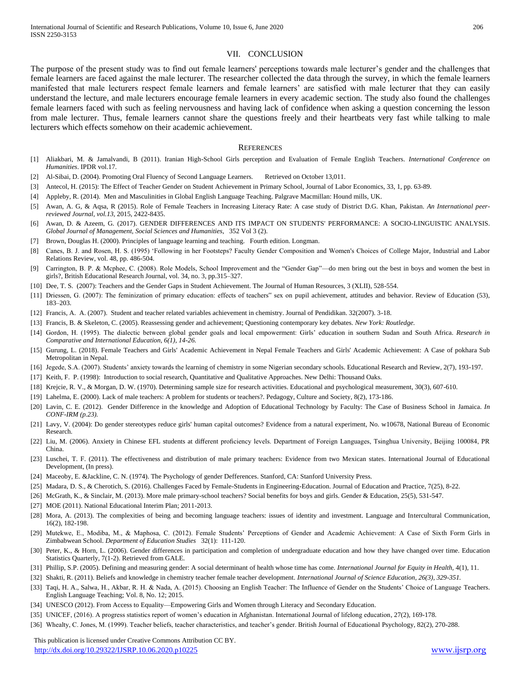#### VII. CONCLUSION

The purpose of the present study was to find out female learners' perceptions towards male lecturer's gender and the challenges that female learners are faced against the male lecturer. The researcher collected the data through the survey, in which the female learners manifested that male lecturers respect female learners and female learners' are satisfied with male lecturer that they can easily understand the lecture, and male lecturers encourage female learners in every academic section. The study also found the challenges female learners faced with such as feeling nervousness and having lack of confidence when asking a question concerning the lesson from male lecturer. Thus, female learners cannot share the questions freely and their heartbeats very fast while talking to male lecturers which effects somehow on their academic achievement.

#### **REFERENCES**

- [1] Aliakbari, M. & Jamalvandi, B (2011). Iranian High-School Girls perception and Evaluation of Female English Teachers. *International Conference on Humanities*. IPDR vol.17.
- [2] Al-Sibai, D. (2004). Promoting Oral Fluency of Second Language Learners. Retrieved on October 13,011.
- [3] Antecol, H. (2015): The Effect of Teacher Gender on Student Achievement in Primary School, Journal of Labor Economics, 33, 1, pp. 63-89.
- [4] Appleby, R. (2014). Men and Masculinities in Global English Language Teaching. Palgrave Macmillan: Hound mills, UK.
- [5] Awan, A. G, & Aqsa, R (2015). Role of Female Teachers in Increasing Literacy Rate: A case study of District D.G. Khan, Pakistan. *An International peerreviewed Journal*, *vol.13*, 2015, 2422-8435.
- [6] Awan, D. & Azeem, G*.* (2017). GENDER DIFFERENCES AND ITS IMPACT ON STUDENTS' PERFORMANCE: A SOCIO-LINGUISTIC ANALYSIS. *Global Journal of Management, Social Sciences and Humanities*, 352 Vol 3 (2).
- [7] Brown, Douglas H. (2000). Principles of language learning and teaching. Fourth edition. Longman.
- [8] Canes, B. J. and Rosen, H. S. (1995) 'Following in her Footsteps? Faculty Gender Composition and Women's Choices of College Major, Industrial and Labor Relations Review, vol. 48, pp. 486-504.
- [9] Carrington, B. P. & Mcphee, C. (2008). Role Models, School Improvement and the "Gender Gap"—do men bring out the best in boys and women the best in girls?, British Educational Research Journal, vol. 34, no. 3, pp.315–327.
- [10] Dee, T. S. (2007): Teachers and the Gender Gaps in Student Achievement. The Journal of Human Resources, 3 (XLII), 528-554.
- [11] Driessen, G. (2007): The feminization of primary education: effects of teachers" sex on pupil achievement, attitudes and behavior. Review of Education (53), 183–203.
- [12] Francis, A. A. (2007). Student and teacher related variables achievement in chemistry. Journal of Pendidikan. 32(2007). 3-18.
- [13] Francis, B. & Skeleton, C. (2005). Reassessing gender and achievement; Questioning contemporary key debates*. New York: Routledge.*
- [14] Gordon, H. (1995). The dialectic between global gender goals and local empowerment: Girls' education in southern Sudan and South Africa. *Research in Comparative and International Education, 6(1), 14-26.*
- [15] Gurung, L. (2018). Female Teachers and Girls' Academic Achievement in Nepal Female Teachers and Girls' Academic Achievement: A Case of pokhara Sub Metropolitan in Nepal.
- [16] Jegede, S.A. (2007). Students' anxiety towards the learning of chemistry in some Nigerian secondary schools. Educational Research and Review, 2(7), 193-197.
- [17] Keith, F. P. (1998): Introduction to social research, Quantitative and Qualitative Approaches. New Delhi: Thousand Oaks.
- [18] Krejcie, R. V., & Morgan, D. W. (1970). Determining sample size for research activities. Educational and psychological measurement, 30(3), 607-610.
- [19] Lahelma, E. (2000). Lack of male teachers: A problem for students or teachers?. Pedagogy, Culture and Society, 8(2), 173-186.
- [20] Lavin, C. E. (2012). Gender Difference in the knowledge and Adoption of Educational Technology by Faculty: The Case of Business School in Jamaica. *In CONF-IRM (p.23).*
- [21] Lavy, V. (2004): Do gender stereotypes reduce girls' human capital outcomes? Evidence from a natural experiment, No. w10678, National Bureau of Economic Research.
- [22] Liu, M. (2006). Anxiety in Chinese EFL students at different proficiency levels. Department of Foreign Languages, Tsinghua University, Beijing 100084, PR China.
- [23] Luschei, T. F. (2011). The effectiveness and distribution of male primary teachers: Evidence from two Mexican states. International Journal of Educational Development, (In press).
- [24] Maceoby, E. &Jackline, C. N. (1974). The Psychology of gender Defferences. Stanford, CA: Stanford University Press.
- [25] Madara, D. S., & Cherotich, S. (2016). Challenges Faced by Female-Students in Engineering-Education. Journal of Education and Practice, 7(25), 8-22.
- [26] McGrath, K., & Sinclair, M. (2013). More male primary-school teachers? Social benefits for boys and girls. Gender & Education, 25(5), 531-547.
- [27] MOE (2011). National Educational Interim Plan; 2011-2013.
- [28] Mora, A. (2013). The complexities of being and becoming language teachers: issues of identity and investment. Language and Intercultural Communication, 16(2), 182-198.
- [29] Mutekwe, E., Modiba, M., & Maphosa, C. (2012). Female Students' Perceptions of Gender and Academic Achievement: A Case of Sixth Form Girls in Zimbabwean School. *Department of Education Studies* 32(1): 111-120.
- [30] Peter, K., & Horn, L. (2006). Gender differences in participation and completion of undergraduate education and how they have changed over time. Education Statistics Quarterly, 7(1-2). Retrieved from GALE.
- [31] Phillip, S.P. (2005). Defining and measuring gender: A social determinant of health whose time has come. *International Journal for Equity in Health,* 4(1), 11.
- [32] Shakti, R. (2011). Beliefs and knowledge in chemistry teacher female teacher development. *International Journal of Science Education, 26(3), 329-351.*
- [33] Taqi, H. A., Salwa, H., Akbar, R. H. & Nada, A. (2015). Choosing an English Teacher: The Influence of Gender on the Students' Choice of Language Teachers. English Language Teaching; Vol. 8, No. 12; 2015.
- [34] UNESCO (2012). From Access to Equality—Empowering Girls and Women through Literacy and Secondary Education.
- [35] UNICEF, (2016). A progress statistics report of women's education in Afghanistan. International Journal of lifelong education, 27(2), 169-178.
- [36] Whealty, C. Jones, M. (1999). Teacher beliefs, teacher characteristics, and teacher's gender. British Journal of Educational Psychology, 82(2), 270-288.